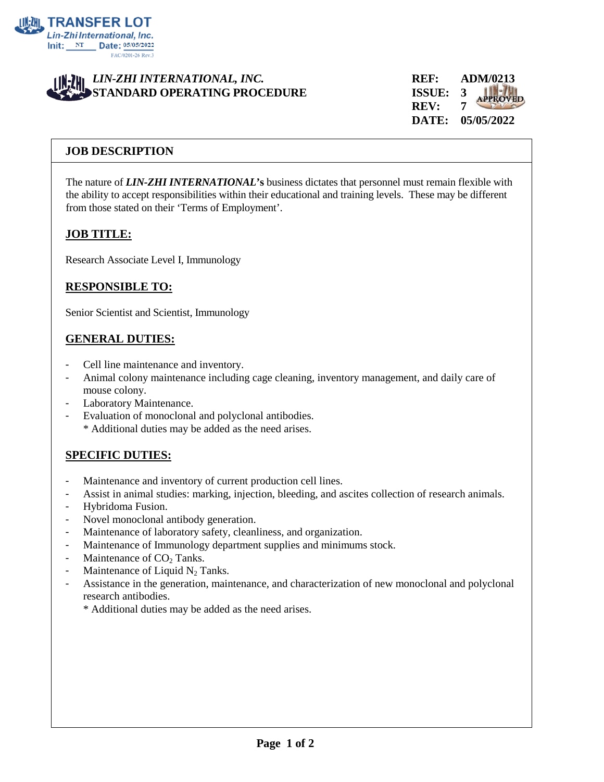

### *LIN-ZHI INTERNATIONAL, INC.* **REF: ADM/0213 STANDARD OPERATING PROCEDURE ISSUE: 3**

**REV: 7 DATE: 05/05/2022**

#### **JOB DESCRIPTION**

The nature of *LIN-ZHI INTERNATIONAL***'s** business dictates that personnel must remain flexible with the ability to accept responsibilities within their educational and training levels. These may be different from those stated on their 'Terms of Employment'.

#### **JOB TITLE:**

Research Associate Level I, Immunology

## **RESPONSIBLE TO:**

Senior Scientist and Scientist, Immunology

#### **GENERAL DUTIES:**

- Cell line maintenance and inventory.
- Animal colony maintenance including cage cleaning, inventory management, and daily care of mouse colony.
- Laboratory Maintenance.
- Evaluation of monoclonal and polyclonal antibodies.
	- \* Additional duties may be added as the need arises.

## **SPECIFIC DUTIES:**

- Maintenance and inventory of current production cell lines.
- Assist in animal studies: marking, injection, bleeding, and ascites collection of research animals.
- Hybridoma Fusion.
- Novel monoclonal antibody generation.
- Maintenance of laboratory safety, cleanliness, and organization.
- Maintenance of Immunology department supplies and minimums stock.
- Maintenance of  $CO<sub>2</sub>$  Tanks.
- Maintenance of Liquid  $N_2$  Tanks.
- Assistance in the generation, maintenance, and characterization of new monoclonal and polyclonal research antibodies.

\* Additional duties may be added as the need arises.